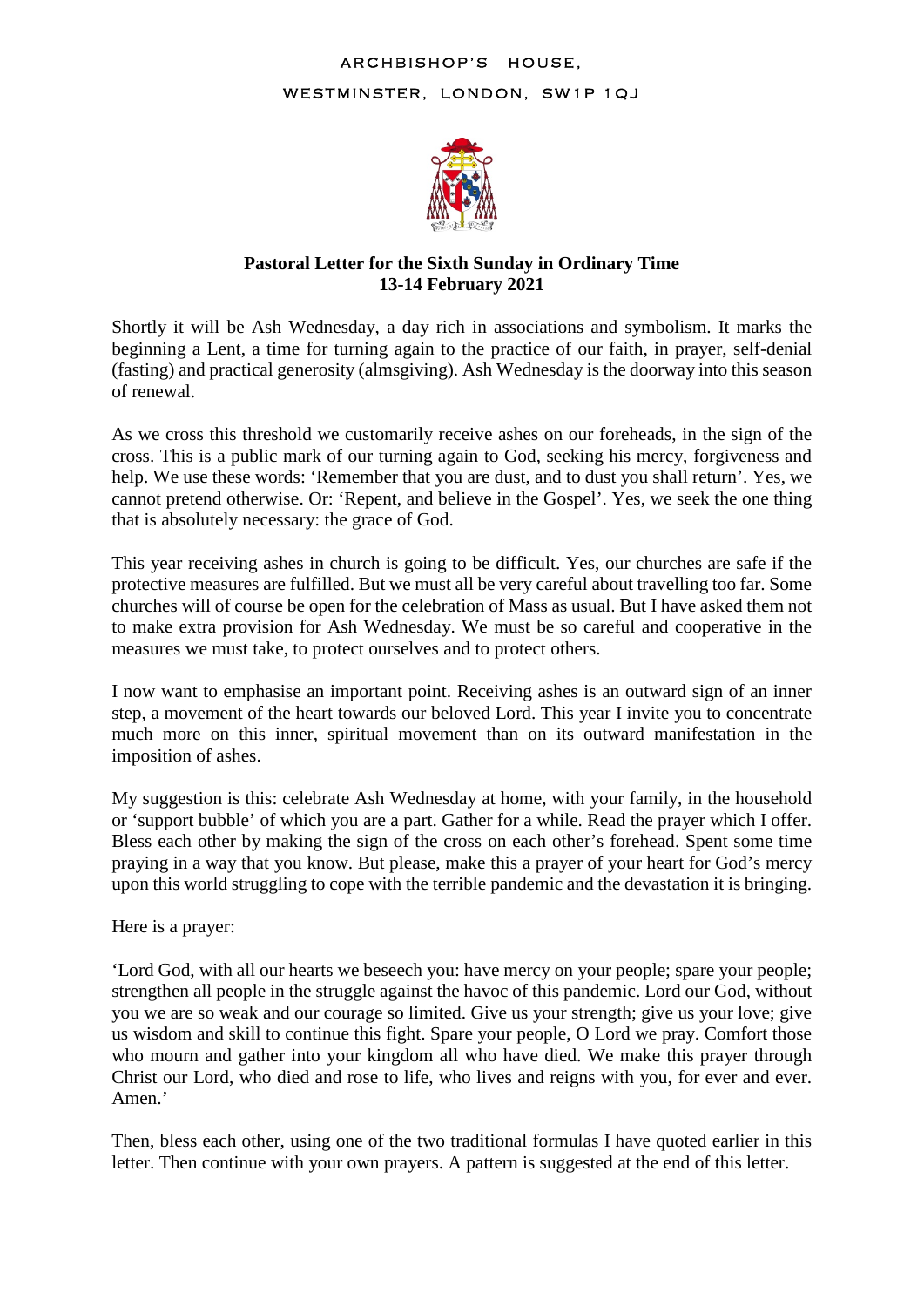## ARCHBISHOP'S HOUSE, WESTMINSTER, LONDON, SW1P 1QJ



## **Pastoral Letter for the Sixth Sunday in Ordinary Time 13-14 February 2021**

Shortly it will be Ash Wednesday, a day rich in associations and symbolism. It marks the beginning a Lent, a time for turning again to the practice of our faith, in prayer, self-denial (fasting) and practical generosity (almsgiving). Ash Wednesday is the doorway into this season of renewal.

As we cross this threshold we customarily receive ashes on our foreheads, in the sign of the cross. This is a public mark of our turning again to God, seeking his mercy, forgiveness and help. We use these words: 'Remember that you are dust, and to dust you shall return'. Yes, we cannot pretend otherwise. Or: 'Repent, and believe in the Gospel'. Yes, we seek the one thing that is absolutely necessary: the grace of God.

This year receiving ashes in church is going to be difficult. Yes, our churches are safe if the protective measures are fulfilled. But we must all be very careful about travelling too far. Some churches will of course be open for the celebration of Mass as usual. But I have asked them not to make extra provision for Ash Wednesday. We must be so careful and cooperative in the measures we must take, to protect ourselves and to protect others.

I now want to emphasise an important point. Receiving ashes is an outward sign of an inner step, a movement of the heart towards our beloved Lord. This year I invite you to concentrate much more on this inner, spiritual movement than on its outward manifestation in the imposition of ashes.

My suggestion is this: celebrate Ash Wednesday at home, with your family, in the household or 'support bubble' of which you are a part. Gather for a while. Read the prayer which I offer. Bless each other by making the sign of the cross on each other's forehead. Spent some time praying in a way that you know. But please, make this a prayer of your heart for God's mercy upon this world struggling to cope with the terrible pandemic and the devastation it is bringing.

Here is a prayer:

'Lord God, with all our hearts we beseech you: have mercy on your people; spare your people; strengthen all people in the struggle against the havoc of this pandemic. Lord our God, without you we are so weak and our courage so limited. Give us your strength; give us your love; give us wisdom and skill to continue this fight. Spare your people, O Lord we pray. Comfort those who mourn and gather into your kingdom all who have died. We make this prayer through Christ our Lord, who died and rose to life, who lives and reigns with you, for ever and ever. Amen.'

Then, bless each other, using one of the two traditional formulas I have quoted earlier in this letter. Then continue with your own prayers. A pattern is suggested at the end of this letter.